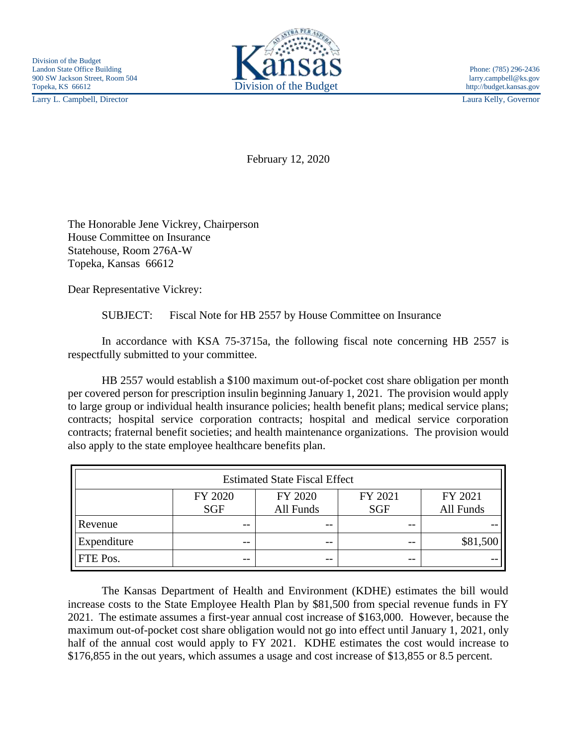Larry L. Campbell, Director Laura Kelly, Governor



February 12, 2020

The Honorable Jene Vickrey, Chairperson House Committee on Insurance Statehouse, Room 276A-W Topeka, Kansas 66612

Dear Representative Vickrey:

SUBJECT: Fiscal Note for HB 2557 by House Committee on Insurance

In accordance with KSA 75-3715a, the following fiscal note concerning HB 2557 is respectfully submitted to your committee.

HB 2557 would establish a \$100 maximum out-of-pocket cost share obligation per month per covered person for prescription insulin beginning January 1, 2021. The provision would apply to large group or individual health insurance policies; health benefit plans; medical service plans; contracts; hospital service corporation contracts; hospital and medical service corporation contracts; fraternal benefit societies; and health maintenance organizations. The provision would also apply to the state employee healthcare benefits plan.

| <b>Estimated State Fiscal Effect</b> |         |           |            |           |
|--------------------------------------|---------|-----------|------------|-----------|
|                                      | FY 2020 | FY 2020   | FY 2021    | FY 2021   |
|                                      | SGF     | All Funds | <b>SGF</b> | All Funds |
| Revenue                              | $- -$   | $- -$     | $- -$      |           |
| Expenditure                          | $- -$   | $ -$      | $ -$       | \$81,500  |
| FTE Pos.                             | --      | $ -$      | --         |           |

The Kansas Department of Health and Environment (KDHE) estimates the bill would increase costs to the State Employee Health Plan by \$81,500 from special revenue funds in FY 2021. The estimate assumes a first-year annual cost increase of \$163,000. However, because the maximum out-of-pocket cost share obligation would not go into effect until January 1, 2021, only half of the annual cost would apply to FY 2021. KDHE estimates the cost would increase to \$176,855 in the out years, which assumes a usage and cost increase of \$13,855 or 8.5 percent.